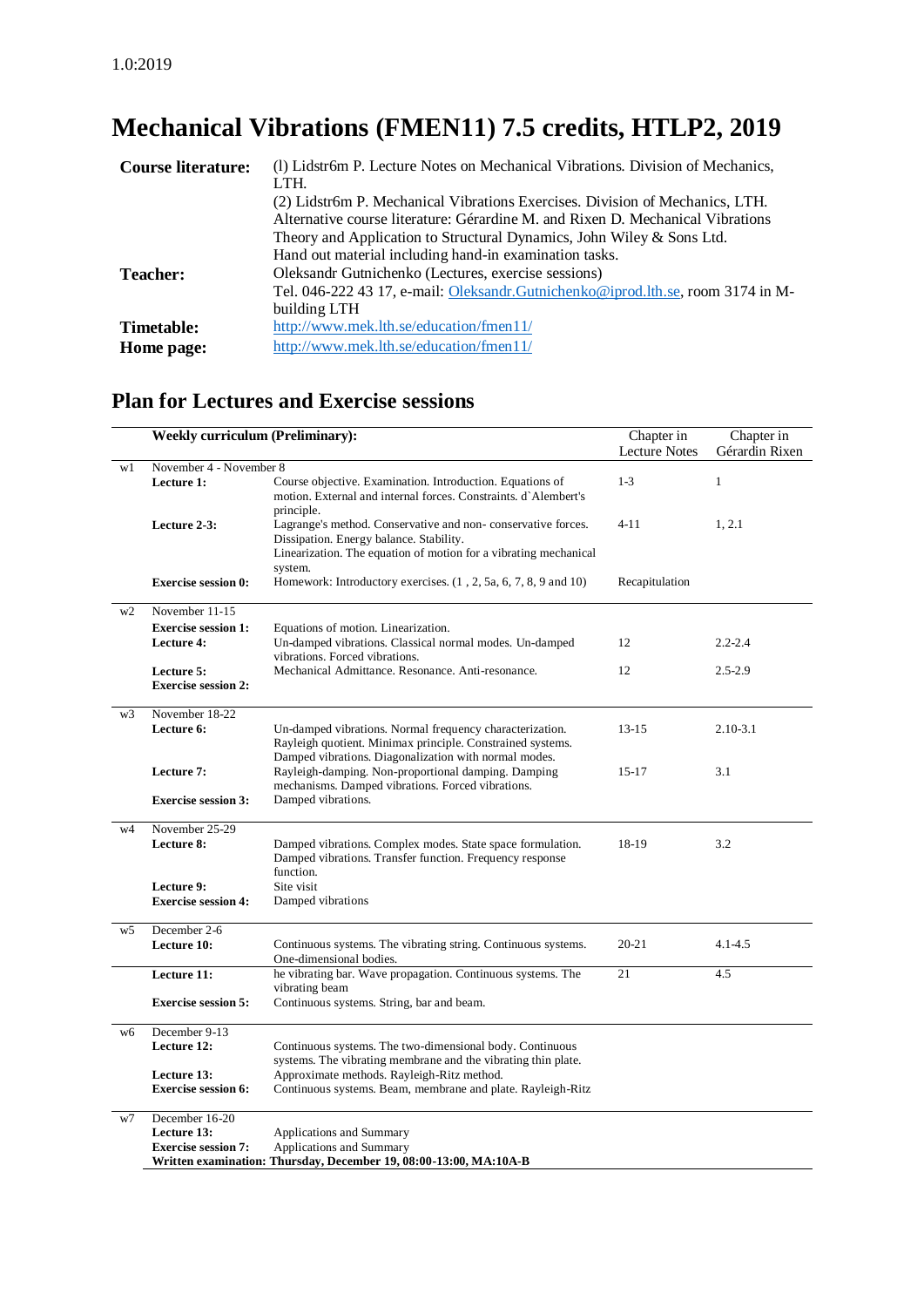# **Mechanical Vibrations (FMEN11) 7.5 credits, HTLP2, 2019**

| <b>Course literature:</b> | (1) Lidstr6m P. Lecture Notes on Mechanical Vibrations. Division of Mechanics,   |
|---------------------------|----------------------------------------------------------------------------------|
|                           | LTH.                                                                             |
|                           | (2) Lidstr6m P. Mechanical Vibrations Exercises. Division of Mechanics, LTH.     |
|                           | Alternative course literature: Gérardine M. and Rixen D. Mechanical Vibrations   |
|                           | Theory and Application to Structural Dynamics, John Wiley & Sons Ltd.            |
|                           | Hand out material including hand-in examination tasks.                           |
| <b>Teacher:</b>           | Oleksandr Gutnichenko (Lectures, exercise sessions)                              |
|                           | Tel. 046-222 43 17, e-mail: Oleksandr. Gutnichenko@iprod.lth.se, room 3174 in M- |
|                           | building LTH                                                                     |
| Timetable:                | http://www.mek.lth.se/education/fmen11/                                          |
| Home page:                | http://www.mek.lth.se/education/fmen11/                                          |

## **Plan for Lectures and Exercise sessions**

|                                                                                                                             | <b>Weekly curriculum (Preliminary):</b>  |                                                                                                                                                                                        |                | Chapter in<br>Gérardin Rixen |  |
|-----------------------------------------------------------------------------------------------------------------------------|------------------------------------------|----------------------------------------------------------------------------------------------------------------------------------------------------------------------------------------|----------------|------------------------------|--|
| w1                                                                                                                          | November 4 - November 8                  |                                                                                                                                                                                        |                |                              |  |
|                                                                                                                             | Lecture 1:                               | Course objective. Examination. Introduction. Equations of<br>motion. External and internal forces. Constraints. d'Alembert's<br>principle.                                             | $1-3$          | $\mathbf{1}$                 |  |
|                                                                                                                             | Lecture 2-3:                             | Lagrange's method. Conservative and non-conservative forces.<br>Dissipation. Energy balance. Stability.<br>Linearization. The equation of motion for a vibrating mechanical<br>system. | $4 - 11$       | 1, 2.1                       |  |
|                                                                                                                             | <b>Exercise session 0:</b>               | Homework: Introductory exercises. $(1, 2, 5a, 6, 7, 8, 9, 10)$                                                                                                                         | Recapitulation |                              |  |
| w <sub>2</sub>                                                                                                              | November 11-15                           |                                                                                                                                                                                        |                |                              |  |
|                                                                                                                             | <b>Exercise session 1:</b>               | Equations of motion. Linearization.                                                                                                                                                    |                |                              |  |
|                                                                                                                             | <b>Lecture 4:</b>                        | Un-damped vibrations. Classical normal modes. Un-damped<br>vibrations. Forced vibrations.                                                                                              | 12             | $2.2 - 2.4$                  |  |
|                                                                                                                             | Lecture 5:<br><b>Exercise session 2:</b> | Mechanical Admittance, Resonance, Anti-resonance,                                                                                                                                      | 12             | $2.5 - 2.9$                  |  |
| w <sub>3</sub>                                                                                                              | November 18-22<br>Lecture 6:             | Un-damped vibrations. Normal frequency characterization.<br>Rayleigh quotient. Minimax principle. Constrained systems.<br>Damped vibrations. Diagonalization with normal modes.        | $13 - 15$      | $2.10 - 3.1$                 |  |
|                                                                                                                             | Lecture 7:                               | Rayleigh-damping. Non-proportional damping. Damping<br>mechanisms. Damped vibrations. Forced vibrations.                                                                               | $15-17$        | 3.1                          |  |
|                                                                                                                             | <b>Exercise session 3:</b>               | Damped vibrations.                                                                                                                                                                     |                |                              |  |
| w4                                                                                                                          | November 25-29                           |                                                                                                                                                                                        |                |                              |  |
|                                                                                                                             | Lecture 8:                               | Damped vibrations. Complex modes. State space formulation.<br>Damped vibrations. Transfer function. Frequency response<br>function.                                                    | 18-19          | 3.2                          |  |
|                                                                                                                             |                                          |                                                                                                                                                                                        |                |                              |  |
|                                                                                                                             | Lecture 9:<br><b>Exercise session 4:</b> | Site visit<br>Damped vibrations                                                                                                                                                        |                |                              |  |
| w5                                                                                                                          | December 2-6                             |                                                                                                                                                                                        |                |                              |  |
|                                                                                                                             | Lecture 10:                              | Continuous systems. The vibrating string. Continuous systems.<br>One-dimensional bodies.                                                                                               | $20 - 21$      | $4.1 - 4.5$                  |  |
|                                                                                                                             | Lecture 11:                              | he vibrating bar. Wave propagation. Continuous systems. The<br>vibrating beam                                                                                                          | 21             | 4.5                          |  |
|                                                                                                                             | <b>Exercise session 5:</b>               | Continuous systems. String, bar and beam.                                                                                                                                              |                |                              |  |
| w6                                                                                                                          | December 9-13                            |                                                                                                                                                                                        |                |                              |  |
|                                                                                                                             | Lecture 12:                              | Continuous systems. The two-dimensional body. Continuous<br>systems. The vibrating membrane and the vibrating thin plate.                                                              |                |                              |  |
|                                                                                                                             | Lecture 13:                              | Approximate methods. Rayleigh-Ritz method.                                                                                                                                             |                |                              |  |
|                                                                                                                             | <b>Exercise session 6:</b>               | Continuous systems. Beam, membrane and plate. Rayleigh-Ritz                                                                                                                            |                |                              |  |
| w7                                                                                                                          | December 16-20                           |                                                                                                                                                                                        |                |                              |  |
|                                                                                                                             | Lecture 13:                              | Applications and Summary                                                                                                                                                               |                |                              |  |
| Applications and Summary<br><b>Exercise session 7:</b><br>Written examination: Thursday, December 19, 08:00-13:00, MA:10A-B |                                          |                                                                                                                                                                                        |                |                              |  |